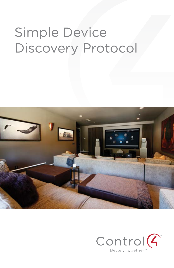# Simple Device Discovery Protocol



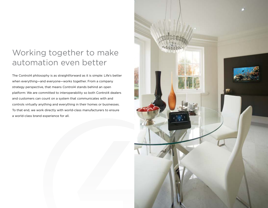### Working together to make automation even better

The Control4 philosophy is as straightforward as it is simple: Life's better when everything—and everyone—works together. From a company strategy perspective, that means Control4 stands behind an open platform: We are committed to interoperability so both Control4 dealers and customers can count on a system that communicates with and controls virtually anything and everything in their homes or businesses. To that end, we work directly with world-class manufacturers to ensure a world-class brand experience for all.

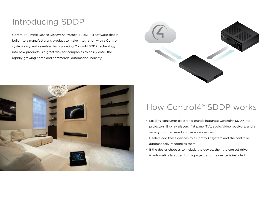# Introducing SDDP

Control4® Simple Device Discovery Protocol (SDDP) is software that is built into a manufacturer's product to make integration with a Control4 system easy and seamless. Incorporating Control4 SDDP technology into new products is a great way for companies to easily enter the rapidly growing home and commercial automation industry.





### How Control4® SDDP works

- Leading consumer electronic brands integrate Control4<sup>®</sup> SDDP into projectors, Blu-ray players, flat panel TVs, audio/video receivers, and a variety of other wired and wireless devices.
- Dealers add these devices to a Control4® system and the controller automatically recognizes them.
- • If the dealer chooses to include the device, then the correct driver is automatically added to the project and the device is installed.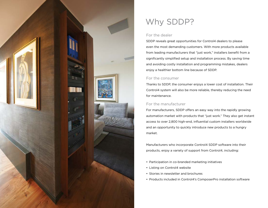

# Why SDDP?

#### For the dealer

SDDP reveals great opportunities for Control4 dealers to please even the most demanding customers. With more products available from leading manufacturers that "just work," installers benefit from a significantly simplified setup and installation process. By saving time and avoiding costly installation and programming mistakes, dealers enjoy a healthier bottom line because of SDDP.

#### For the consumer

Thanks to SDDP, the consumer enjoys a lower cost of installation. Their Control4 system will also be more reliable, thereby reducing the need for maintenance.

### For the manufacturer

For manufacturers, SDDP offers an easy way into the rapidly growing automation market with products that "just work." They also get instant access to over 2,800 high-end, influential custom installers worldwide and an opportunity to quickly introduce new products to a hungry market.

Manufacturers who incorporate Control4 SDDP software into their products, enjoy a variety of support from Control4, including:

- Participation in co-branded marketing initiatives
- Listing on Control4 website
- Stories in newsletter and brochures
- Products included in Control4's ComposerPro installation software